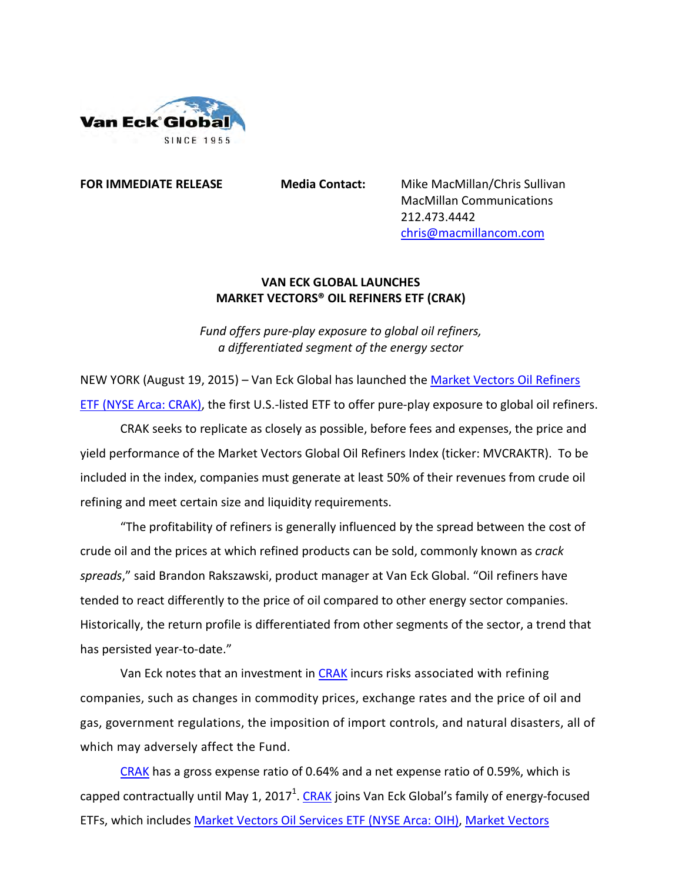

**FOR IMMEDIATE RELEASE Media Contact: Mike MacMillan/Chris Sullivan**  MacMillan Communications 212.473.4442 [chris@macmillancom.com](mailto:chris@macmillancom.com) 

## **VAN ECK GLOBAL LAUNCHES MARKET VECTORS® OIL REFINERS ETF (CRAK)**

*Fund offers pure-play exposure to global oil refiners, a differentiated segment of the energy sector*

NEW YORK (August 19, 2015) – Van Eck Global has launched the [Market Vectors Oil Refiners](http://www.vaneck.com/market-vectors/equity-etfs/crak/snapshot/) ETF [\(NYSE Arca: CRAK\),](http://www.vaneck.com/market-vectors/equity-etfs/crak/snapshot/) the first U.S.-listed ETF to offer pure-play exposure to global oil refiners.

CRAK seeks to replicate as closely as possible, before fees and expenses, the price and yield performance of the Market Vectors Global Oil Refiners Index (ticker: MVCRAKTR). To be included in the index, companies must generate at least 50% of their revenues from crude oil refining and meet certain size and liquidity requirements.

"The profitability of refiners is generally influenced by the spread between the cost of crude oil and the prices at which refined products can be sold, commonly known as *crack spreads*," said Brandon Rakszawski, product manager at Van Eck Global. "Oil refiners have tended to react differently to the price of oil compared to other energy sector companies. Historically, the return profile is differentiated from other segments of the sector, a trend that has persisted year-to-date."

Van Eck notes that an investment in [CRAK](http://www.vaneck.com/market-vectors/equity-etfs/crak/snapshot/) incurs risks associated with refining companies, such as changes in commodity prices, exchange rates and the price of oil and gas, government regulations, the imposition of import controls, and natural disasters, all of which may adversely affect the Fund.

[CRAK](http://www.vaneck.com/market-vectors/equity-etfs/crak/snapshot/) has a gross expense ratio of 0.64% and a net expense ratio of 0.59%, which is capped contractually until May 1, 2017<sup>1</sup>. [CRAK](http://www.vaneck.com/market-vectors/equity-etfs/crak/snapshot/) joins Van Eck Global's family of energy-focused ETFs, which includes [Market Vectors Oil Services ETF \(NYSE Arca: OIH\),](http://www.vaneck.com/market-vectors/equity-etfs/oih/snapshot/) [Market Vectors](http://www.vaneck.com/market-vectors/equity-etfs/frak/snapshot/)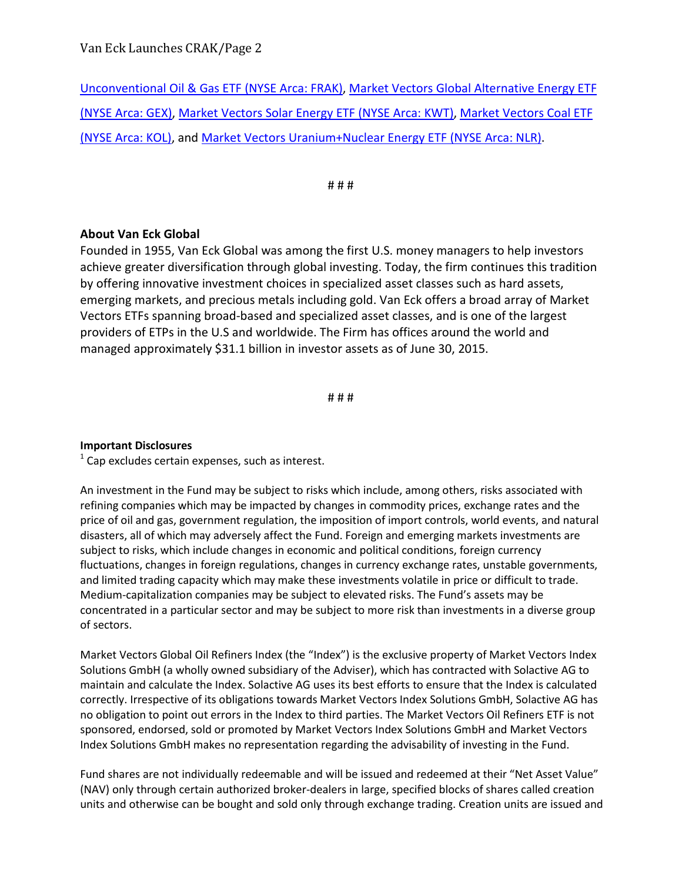[Unconventional Oil & Gas ETF \(NYSE](http://www.vaneck.com/market-vectors/equity-etfs/frak/snapshot/) Arca: FRAK), [Market Vectors Global Alternative Energy ETF](http://www.vaneck.com/market-vectors/equity-etfs/gex/snapshot/)  [\(NYSE Arca: GEX\),](http://www.vaneck.com/market-vectors/equity-etfs/gex/snapshot/) [Market Vectors Solar Energy ETF \(NYSE Arca: KWT\),](http://www.vaneck.com/market-vectors/equity-etfs/kwt/snapshot/) [Market Vectors Coal ETF](http://www.vaneck.com/market-vectors/equity-etfs/kol/snapshot/)  [\(NYSE Arca: KOL\),](http://www.vaneck.com/market-vectors/equity-etfs/kol/snapshot/) and [Market Vectors Uranium+Nuclear Energy ETF \(NYSE Arca: NLR\).](http://www.vaneck.com/market-vectors/equity-etfs/nlr/snapshot/)

# # #

## **About Van Eck Global**

Founded in 1955, Van Eck Global was among the first U.S. money managers to help investors achieve greater diversification through global investing. Today, the firm continues this tradition by offering innovative investment choices in specialized asset classes such as hard assets, emerging markets, and precious metals including gold. Van Eck offers a broad array of Market Vectors ETFs spanning broad-based and specialized asset classes, and is one of the largest providers of ETPs in the U.S and worldwide. The Firm has offices around the world and managed approximately \$31.1 billion in investor assets as of June 30, 2015.

# # #

## **Important Disclosures**

 $1$  Cap excludes certain expenses, such as interest.

An investment in the Fund may be subject to risks which include, among others, risks associated with refining companies which may be impacted by changes in commodity prices, exchange rates and the price of oil and gas, government regulation, the imposition of import controls, world events, and natural disasters, all of which may adversely affect the Fund. Foreign and emerging markets investments are subject to risks, which include changes in economic and political conditions, foreign currency fluctuations, changes in foreign regulations, changes in currency exchange rates, unstable governments, and limited trading capacity which may make these investments volatile in price or difficult to trade. Medium-capitalization companies may be subject to elevated risks. The Fund's assets may be concentrated in a particular sector and may be subject to more risk than investments in a diverse group of sectors.

Market Vectors Global Oil Refiners Index (the "Index") is the exclusive property of Market Vectors Index Solutions GmbH (a wholly owned subsidiary of the Adviser), which has contracted with Solactive AG to maintain and calculate the Index. Solactive AG uses its best efforts to ensure that the Index is calculated correctly. Irrespective of its obligations towards Market Vectors Index Solutions GmbH, Solactive AG has no obligation to point out errors in the Index to third parties. The Market Vectors Oil Refiners ETF is not sponsored, endorsed, sold or promoted by Market Vectors Index Solutions GmbH and Market Vectors Index Solutions GmbH makes no representation regarding the advisability of investing in the Fund.

Fund shares are not individually redeemable and will be issued and redeemed at their "Net Asset Value" (NAV) only through certain authorized broker-dealers in large, specified blocks of shares called creation units and otherwise can be bought and sold only through exchange trading. Creation units are issued and